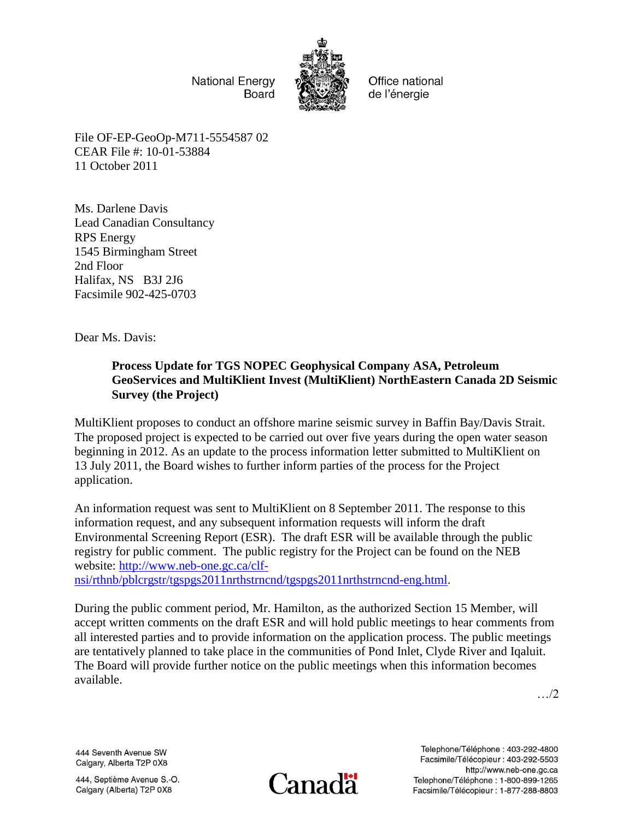**National Energy Board** 



Office national de l'énergie

File OF-EP-GeoOp-M711-5554587 02 CEAR File #: 10-01-53884 11 October 2011

Ms. Darlene Davis Lead Canadian Consultancy RPS Energy 1545 Birmingham Street 2nd Floor Halifax, NS B3J 2J6 Facsimile 902-425-0703

Dear Ms. Davis:

## **Process Update for TGS NOPEC Geophysical Company ASA, Petroleum GeoServices and MultiKlient Invest (MultiKlient) NorthEastern Canada 2D Seismic Survey (the Project)**

MultiKlient proposes to conduct an offshore marine seismic survey in Baffin Bay/Davis Strait. The proposed project is expected to be carried out over five years during the open water season beginning in 2012. As an update to the process information letter submitted to MultiKlient on 13 July 2011, the Board wishes to further inform parties of the process for the Project application.

An information request was sent to MultiKlient on 8 September 2011. The response to this information request, and any subsequent information requests will inform the draft Environmental Screening Report (ESR). The draft ESR will be available through the public registry for public comment. The public registry for the Project can be found on the NEB website: [http://www.neb-one.gc.ca/clf-](http://www.neb-one.gc.ca/clf-nsi/rthnb/pblcrgstr/tgspgs2011nrthstrncnd/tgspgs2011nrthstrncnd-eng.html)

[nsi/rthnb/pblcrgstr/tgspgs2011nrthstrncnd/tgspgs2011nrthstrncnd-eng.html.](http://www.neb-one.gc.ca/clf-nsi/rthnb/pblcrgstr/tgspgs2011nrthstrncnd/tgspgs2011nrthstrncnd-eng.html)

During the public comment period, Mr. Hamilton, as the authorized Section 15 Member, will accept written comments on the draft ESR and will hold public meetings to hear comments from all interested parties and to provide information on the application process. The public meetings are tentatively planned to take place in the communities of Pond Inlet, Clyde River and Iqaluit. The Board will provide further notice on the public meetings when this information becomes available.

…/2

444 Seventh Avenue SW Calgary, Alberta T2P 0X8

444, Septième Avenue S.-O. Calgary (Alberta) T2P 0X8



Telephone/Téléphone: 403-292-4800 Facsimile/Télécopieur : 403-292-5503 http://www.neb-one.gc.ca Telephone/Téléphone: 1-800-899-1265 Facsimile/Télécopieur : 1-877-288-8803